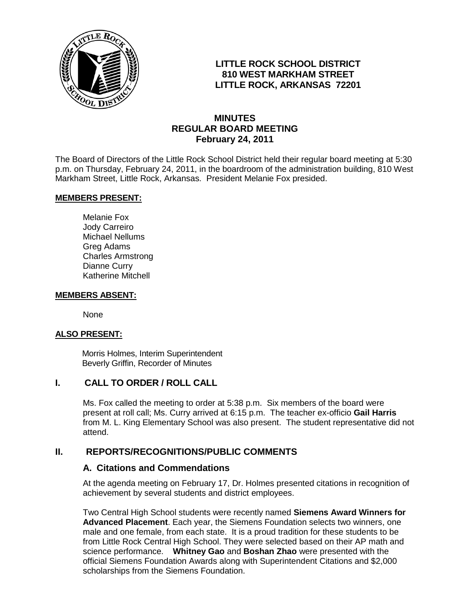

## **LITTLE ROCK SCHOOL DISTRICT 810 WEST MARKHAM STREET LITTLE ROCK, ARKANSAS 72201**

## **MINUTES REGULAR BOARD MEETING February 24, 2011**

The Board of Directors of the Little Rock School District held their regular board meeting at 5:30 p.m. on Thursday, February 24, 2011, in the boardroom of the administration building, 810 West Markham Street, Little Rock, Arkansas. President Melanie Fox presided.

#### **MEMBERS PRESENT:**

Melanie Fox Jody Carreiro Michael Nellums Greg Adams Charles Armstrong Dianne Curry Katherine Mitchell

#### **MEMBERS ABSENT:**

None

#### **ALSO PRESENT:**

 Morris Holmes, Interim Superintendent Beverly Griffin, Recorder of Minutes

## **I. CALL TO ORDER / ROLL CALL**

Ms. Fox called the meeting to order at 5:38 p.m. Six members of the board were present at roll call; Ms. Curry arrived at 6:15 p.m. The teacher ex-officio **Gail Harris**  from M. L. King Elementary School was also present. The student representative did not attend.

## **II. REPORTS/RECOGNITIONS/PUBLIC COMMENTS**

#### **A. Citations and Commendations**

At the agenda meeting on February 17, Dr. Holmes presented citations in recognition of achievement by several students and district employees.

Two Central High School students were recently named **Siemens Award Winners for Advanced Placement**. Each year, the Siemens Foundation selects two winners, one male and one female, from each state. It is a proud tradition for these students to be from Little Rock Central High School. They were selected based on their AP math and science performance. **Whitney Gao** and **Boshan Zhao** were presented with the official Siemens Foundation Awards along with Superintendent Citations and \$2,000 scholarships from the Siemens Foundation.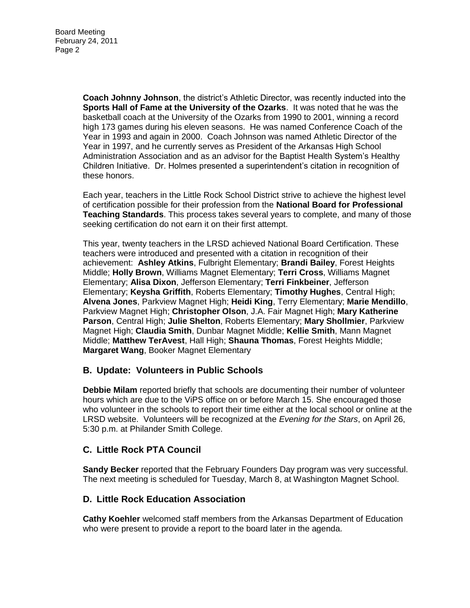**Coach Johnny Johnson**, the district's Athletic Director, was recently inducted into the **Sports Hall of Fame at the University of the Ozarks**. It was noted that he was the basketball coach at the University of the Ozarks from 1990 to 2001, winning a record high 173 games during his eleven seasons. He was named Conference Coach of the Year in 1993 and again in 2000. Coach Johnson was named Athletic Director of the Year in 1997, and he currently serves as President of the Arkansas High School Administration Association and as an advisor for the Baptist Health System's Healthy Children Initiative. Dr. Holmes presented a superintendent's citation in recognition of these honors.

Each year, teachers in the Little Rock School District strive to achieve the highest level of certification possible for their profession from the **National Board for Professional Teaching Standards**. This process takes several years to complete, and many of those seeking certification do not earn it on their first attempt.

This year, twenty teachers in the LRSD achieved National Board Certification. These teachers were introduced and presented with a citation in recognition of their achievement: **Ashley Atkins**, Fulbright Elementary; **Brandi Bailey**, Forest Heights Middle; **Holly Brown**, Williams Magnet Elementary; **Terri Cross**, Williams Magnet Elementary; **Alisa Dixon**, Jefferson Elementary; **Terri Finkbeiner**, Jefferson Elementary; **Keysha Griffith**, Roberts Elementary; **Timothy Hughes**, Central High; **Alvena Jones**, Parkview Magnet High; **Heidi King**, Terry Elementary; **Marie Mendillo**, Parkview Magnet High; **Christopher Olson**, J.A. Fair Magnet High; **Mary Katherine Parson**, Central High; **Julie Shelton**, Roberts Elementary; **Mary Shollmier**, Parkview Magnet High; **Claudia Smith**, Dunbar Magnet Middle; **Kellie Smith**, Mann Magnet Middle; **Matthew TerAvest**, Hall High; **Shauna Thomas**, Forest Heights Middle; **Margaret Wang**, Booker Magnet Elementary

## **B. Update: Volunteers in Public Schools**

**Debbie Milam** reported briefly that schools are documenting their number of volunteer hours which are due to the ViPS office on or before March 15. She encouraged those who volunteer in the schools to report their time either at the local school or online at the LRSD website. Volunteers will be recognized at the *Evening for the Stars*, on April 26, 5:30 p.m. at Philander Smith College.

## **C. Little Rock PTA Council**

**Sandy Becker** reported that the February Founders Day program was very successful. The next meeting is scheduled for Tuesday, March 8, at Washington Magnet School.

## **D. Little Rock Education Association**

**Cathy Koehler** welcomed staff members from the Arkansas Department of Education who were present to provide a report to the board later in the agenda.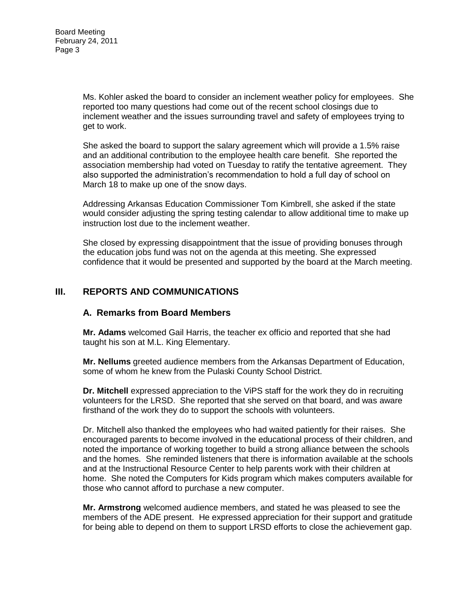Ms. Kohler asked the board to consider an inclement weather policy for employees. She reported too many questions had come out of the recent school closings due to inclement weather and the issues surrounding travel and safety of employees trying to get to work.

She asked the board to support the salary agreement which will provide a 1.5% raise and an additional contribution to the employee health care benefit. She reported the association membership had voted on Tuesday to ratify the tentative agreement. They also supported the administration's recommendation to hold a full day of school on March 18 to make up one of the snow days.

Addressing Arkansas Education Commissioner Tom Kimbrell, she asked if the state would consider adjusting the spring testing calendar to allow additional time to make up instruction lost due to the inclement weather.

She closed by expressing disappointment that the issue of providing bonuses through the education jobs fund was not on the agenda at this meeting. She expressed confidence that it would be presented and supported by the board at the March meeting.

## **III. REPORTS AND COMMUNICATIONS**

#### **A. Remarks from Board Members**

**Mr. Adams** welcomed Gail Harris, the teacher ex officio and reported that she had taught his son at M.L. King Elementary.

**Mr. Nellums** greeted audience members from the Arkansas Department of Education, some of whom he knew from the Pulaski County School District.

**Dr. Mitchell** expressed appreciation to the ViPS staff for the work they do in recruiting volunteers for the LRSD. She reported that she served on that board, and was aware firsthand of the work they do to support the schools with volunteers.

Dr. Mitchell also thanked the employees who had waited patiently for their raises. She encouraged parents to become involved in the educational process of their children, and noted the importance of working together to build a strong alliance between the schools and the homes. She reminded listeners that there is information available at the schools and at the Instructional Resource Center to help parents work with their children at home. She noted the Computers for Kids program which makes computers available for those who cannot afford to purchase a new computer.

**Mr. Armstrong** welcomed audience members, and stated he was pleased to see the members of the ADE present. He expressed appreciation for their support and gratitude for being able to depend on them to support LRSD efforts to close the achievement gap.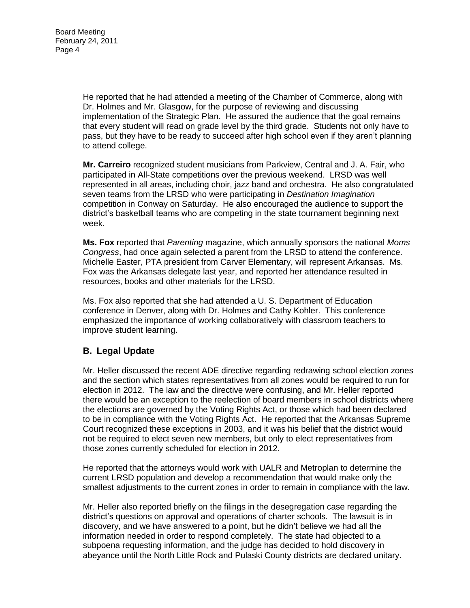He reported that he had attended a meeting of the Chamber of Commerce, along with Dr. Holmes and Mr. Glasgow, for the purpose of reviewing and discussing implementation of the Strategic Plan. He assured the audience that the goal remains that every student will read on grade level by the third grade. Students not only have to pass, but they have to be ready to succeed after high school even if they aren't planning to attend college.

**Mr. Carreiro** recognized student musicians from Parkview, Central and J. A. Fair, who participated in All-State competitions over the previous weekend. LRSD was well represented in all areas, including choir, jazz band and orchestra. He also congratulated seven teams from the LRSD who were participating in *Destination Imagination* competition in Conway on Saturday. He also encouraged the audience to support the district's basketball teams who are competing in the state tournament beginning next week.

**Ms. Fox** reported that *Parenting* magazine, which annually sponsors the national *Moms Congress*, had once again selected a parent from the LRSD to attend the conference. Michelle Easter, PTA president from Carver Elementary, will represent Arkansas. Ms. Fox was the Arkansas delegate last year, and reported her attendance resulted in resources, books and other materials for the LRSD.

Ms. Fox also reported that she had attended a U. S. Department of Education conference in Denver, along with Dr. Holmes and Cathy Kohler. This conference emphasized the importance of working collaboratively with classroom teachers to improve student learning.

# **B. Legal Update**

Mr. Heller discussed the recent ADE directive regarding redrawing school election zones and the section which states representatives from all zones would be required to run for election in 2012. The law and the directive were confusing, and Mr. Heller reported there would be an exception to the reelection of board members in school districts where the elections are governed by the Voting Rights Act, or those which had been declared to be in compliance with the Voting Rights Act. He reported that the Arkansas Supreme Court recognized these exceptions in 2003, and it was his belief that the district would not be required to elect seven new members, but only to elect representatives from those zones currently scheduled for election in 2012.

He reported that the attorneys would work with UALR and Metroplan to determine the current LRSD population and develop a recommendation that would make only the smallest adjustments to the current zones in order to remain in compliance with the law.

Mr. Heller also reported briefly on the filings in the desegregation case regarding the district's questions on approval and operations of charter schools. The lawsuit is in discovery, and we have answered to a point, but he didn't believe we had all the information needed in order to respond completely. The state had objected to a subpoena requesting information, and the judge has decided to hold discovery in abeyance until the North Little Rock and Pulaski County districts are declared unitary.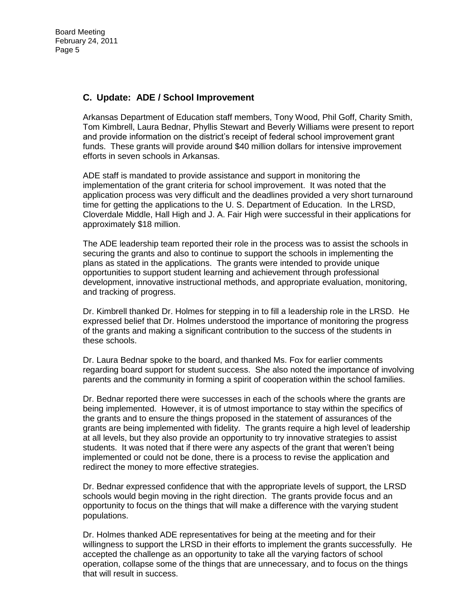## **C. Update: ADE / School Improvement**

Arkansas Department of Education staff members, Tony Wood, Phil Goff, Charity Smith, Tom Kimbrell, Laura Bednar, Phyllis Stewart and Beverly Williams were present to report and provide information on the district's receipt of federal school improvement grant funds. These grants will provide around \$40 million dollars for intensive improvement efforts in seven schools in Arkansas.

ADE staff is mandated to provide assistance and support in monitoring the implementation of the grant criteria for school improvement. It was noted that the application process was very difficult and the deadlines provided a very short turnaround time for getting the applications to the U. S. Department of Education. In the LRSD, Cloverdale Middle, Hall High and J. A. Fair High were successful in their applications for approximately \$18 million.

The ADE leadership team reported their role in the process was to assist the schools in securing the grants and also to continue to support the schools in implementing the plans as stated in the applications. The grants were intended to provide unique opportunities to support student learning and achievement through professional development, innovative instructional methods, and appropriate evaluation, monitoring, and tracking of progress.

Dr. Kimbrell thanked Dr. Holmes for stepping in to fill a leadership role in the LRSD. He expressed belief that Dr. Holmes understood the importance of monitoring the progress of the grants and making a significant contribution to the success of the students in these schools.

Dr. Laura Bednar spoke to the board, and thanked Ms. Fox for earlier comments regarding board support for student success. She also noted the importance of involving parents and the community in forming a spirit of cooperation within the school families.

Dr. Bednar reported there were successes in each of the schools where the grants are being implemented. However, it is of utmost importance to stay within the specifics of the grants and to ensure the things proposed in the statement of assurances of the grants are being implemented with fidelity. The grants require a high level of leadership at all levels, but they also provide an opportunity to try innovative strategies to assist students. It was noted that if there were any aspects of the grant that weren't being implemented or could not be done, there is a process to revise the application and redirect the money to more effective strategies.

Dr. Bednar expressed confidence that with the appropriate levels of support, the LRSD schools would begin moving in the right direction. The grants provide focus and an opportunity to focus on the things that will make a difference with the varying student populations.

Dr. Holmes thanked ADE representatives for being at the meeting and for their willingness to support the LRSD in their efforts to implement the grants successfully. He accepted the challenge as an opportunity to take all the varying factors of school operation, collapse some of the things that are unnecessary, and to focus on the things that will result in success.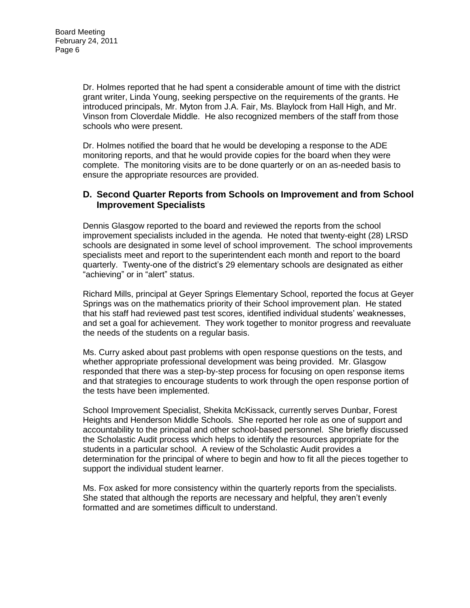Dr. Holmes reported that he had spent a considerable amount of time with the district grant writer, Linda Young, seeking perspective on the requirements of the grants. He introduced principals, Mr. Myton from J.A. Fair, Ms. Blaylock from Hall High, and Mr. Vinson from Cloverdale Middle. He also recognized members of the staff from those schools who were present.

Dr. Holmes notified the board that he would be developing a response to the ADE monitoring reports, and that he would provide copies for the board when they were complete. The monitoring visits are to be done quarterly or on an as-needed basis to ensure the appropriate resources are provided.

## **D. Second Quarter Reports from Schools on Improvement and from School Improvement Specialists**

Dennis Glasgow reported to the board and reviewed the reports from the school improvement specialists included in the agenda. He noted that twenty-eight (28) LRSD schools are designated in some level of school improvement. The school improvements specialists meet and report to the superintendent each month and report to the board quarterly. Twenty-one of the district's 29 elementary schools are designated as either "achieving" or in "alert" status.

Richard Mills, principal at Geyer Springs Elementary School, reported the focus at Geyer Springs was on the mathematics priority of their School improvement plan. He stated that his staff had reviewed past test scores, identified individual students' weaknesses, and set a goal for achievement. They work together to monitor progress and reevaluate the needs of the students on a regular basis.

Ms. Curry asked about past problems with open response questions on the tests, and whether appropriate professional development was being provided. Mr. Glasgow responded that there was a step-by-step process for focusing on open response items and that strategies to encourage students to work through the open response portion of the tests have been implemented.

School Improvement Specialist, Shekita McKissack, currently serves Dunbar, Forest Heights and Henderson Middle Schools. She reported her role as one of support and accountability to the principal and other school-based personnel. She briefly discussed the Scholastic Audit process which helps to identify the resources appropriate for the students in a particular school. A review of the Scholastic Audit provides a determination for the principal of where to begin and how to fit all the pieces together to support the individual student learner.

Ms. Fox asked for more consistency within the quarterly reports from the specialists. She stated that although the reports are necessary and helpful, they aren't evenly formatted and are sometimes difficult to understand.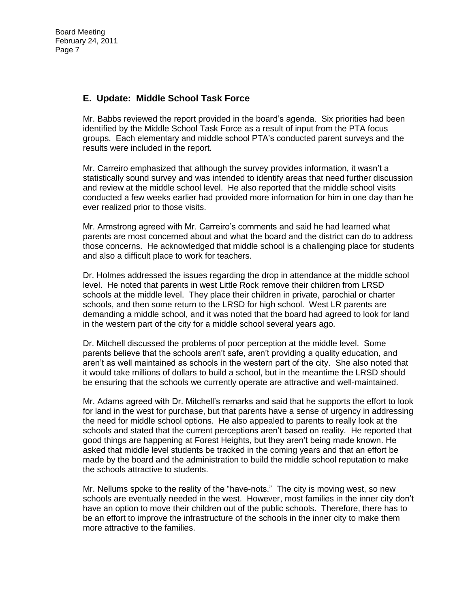# **E. Update: Middle School Task Force**

Mr. Babbs reviewed the report provided in the board's agenda. Six priorities had been identified by the Middle School Task Force as a result of input from the PTA focus groups. Each elementary and middle school PTA's conducted parent surveys and the results were included in the report.

Mr. Carreiro emphasized that although the survey provides information, it wasn't a statistically sound survey and was intended to identify areas that need further discussion and review at the middle school level. He also reported that the middle school visits conducted a few weeks earlier had provided more information for him in one day than he ever realized prior to those visits.

Mr. Armstrong agreed with Mr. Carreiro's comments and said he had learned what parents are most concerned about and what the board and the district can do to address those concerns. He acknowledged that middle school is a challenging place for students and also a difficult place to work for teachers.

Dr. Holmes addressed the issues regarding the drop in attendance at the middle school level. He noted that parents in west Little Rock remove their children from LRSD schools at the middle level. They place their children in private, parochial or charter schools, and then some return to the LRSD for high school. West LR parents are demanding a middle school, and it was noted that the board had agreed to look for land in the western part of the city for a middle school several years ago.

Dr. Mitchell discussed the problems of poor perception at the middle level. Some parents believe that the schools aren't safe, aren't providing a quality education, and aren't as well maintained as schools in the western part of the city. She also noted that it would take millions of dollars to build a school, but in the meantime the LRSD should be ensuring that the schools we currently operate are attractive and well-maintained.

Mr. Adams agreed with Dr. Mitchell's remarks and said that he supports the effort to look for land in the west for purchase, but that parents have a sense of urgency in addressing the need for middle school options. He also appealed to parents to really look at the schools and stated that the current perceptions aren't based on reality. He reported that good things are happening at Forest Heights, but they aren't being made known. He asked that middle level students be tracked in the coming years and that an effort be made by the board and the administration to build the middle school reputation to make the schools attractive to students.

Mr. Nellums spoke to the reality of the "have-nots." The city is moving west, so new schools are eventually needed in the west. However, most families in the inner city don't have an option to move their children out of the public schools. Therefore, there has to be an effort to improve the infrastructure of the schools in the inner city to make them more attractive to the families.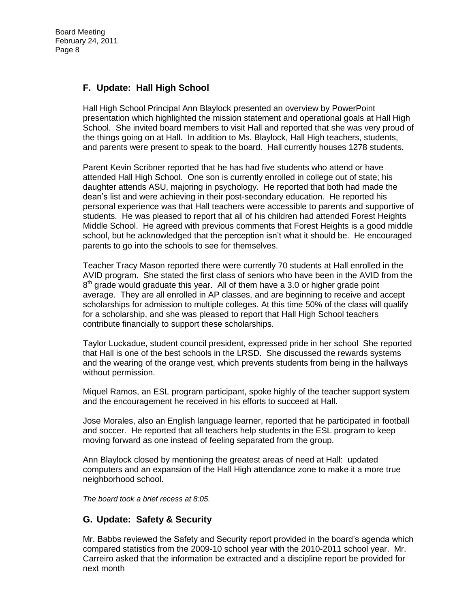## **F. Update: Hall High School**

Hall High School Principal Ann Blaylock presented an overview by PowerPoint presentation which highlighted the mission statement and operational goals at Hall High School. She invited board members to visit Hall and reported that she was very proud of the things going on at Hall. In addition to Ms. Blaylock, Hall High teachers, students, and parents were present to speak to the board. Hall currently houses 1278 students.

Parent Kevin Scribner reported that he has had five students who attend or have attended Hall High School. One son is currently enrolled in college out of state; his daughter attends ASU, majoring in psychology. He reported that both had made the dean's list and were achieving in their post-secondary education. He reported his personal experience was that Hall teachers were accessible to parents and supportive of students. He was pleased to report that all of his children had attended Forest Heights Middle School. He agreed with previous comments that Forest Heights is a good middle school, but he acknowledged that the perception isn't what it should be. He encouraged parents to go into the schools to see for themselves.

Teacher Tracy Mason reported there were currently 70 students at Hall enrolled in the AVID program. She stated the first class of seniors who have been in the AVID from the  $8<sup>th</sup>$  grade would graduate this year. All of them have a 3.0 or higher grade point average. They are all enrolled in AP classes, and are beginning to receive and accept scholarships for admission to multiple colleges. At this time 50% of the class will qualify for a scholarship, and she was pleased to report that Hall High School teachers contribute financially to support these scholarships.

Taylor Luckadue, student council president, expressed pride in her school She reported that Hall is one of the best schools in the LRSD. She discussed the rewards systems and the wearing of the orange vest, which prevents students from being in the hallways without permission.

Miquel Ramos, an ESL program participant, spoke highly of the teacher support system and the encouragement he received in his efforts to succeed at Hall.

Jose Morales, also an English language learner, reported that he participated in football and soccer. He reported that all teachers help students in the ESL program to keep moving forward as one instead of feeling separated from the group.

Ann Blaylock closed by mentioning the greatest areas of need at Hall: updated computers and an expansion of the Hall High attendance zone to make it a more true neighborhood school.

*The board took a brief recess at 8:05.*

## **G. Update: Safety & Security**

Mr. Babbs reviewed the Safety and Security report provided in the board's agenda which compared statistics from the 2009-10 school year with the 2010-2011 school year. Mr. Carreiro asked that the information be extracted and a discipline report be provided for next month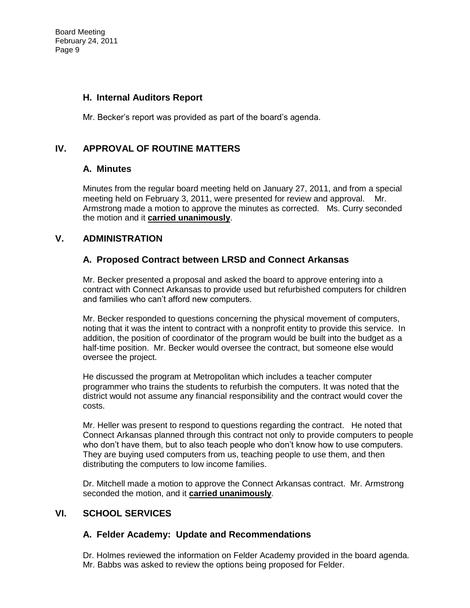## **H. Internal Auditors Report**

Mr. Becker's report was provided as part of the board's agenda.

# **IV. APPROVAL OF ROUTINE MATTERS**

## **A. Minutes**

Minutes from the regular board meeting held on January 27, 2011, and from a special meeting held on February 3, 2011, were presented for review and approval. Mr. Armstrong made a motion to approve the minutes as corrected. Ms. Curry seconded the motion and it **carried unanimously**.

## **V. ADMINISTRATION**

## **A. Proposed Contract between LRSD and Connect Arkansas**

Mr. Becker presented a proposal and asked the board to approve entering into a contract with Connect Arkansas to provide used but refurbished computers for children and families who can't afford new computers.

Mr. Becker responded to questions concerning the physical movement of computers, noting that it was the intent to contract with a nonprofit entity to provide this service. In addition, the position of coordinator of the program would be built into the budget as a half-time position. Mr. Becker would oversee the contract, but someone else would oversee the project.

He discussed the program at Metropolitan which includes a teacher computer programmer who trains the students to refurbish the computers. It was noted that the district would not assume any financial responsibility and the contract would cover the costs.

Mr. Heller was present to respond to questions regarding the contract. He noted that Connect Arkansas planned through this contract not only to provide computers to people who don't have them, but to also teach people who don't know how to use computers. They are buying used computers from us, teaching people to use them, and then distributing the computers to low income families.

Dr. Mitchell made a motion to approve the Connect Arkansas contract. Mr. Armstrong seconded the motion, and it **carried unanimously**.

# **VI. SCHOOL SERVICES**

## **A. Felder Academy: Update and Recommendations**

Dr. Holmes reviewed the information on Felder Academy provided in the board agenda. Mr. Babbs was asked to review the options being proposed for Felder.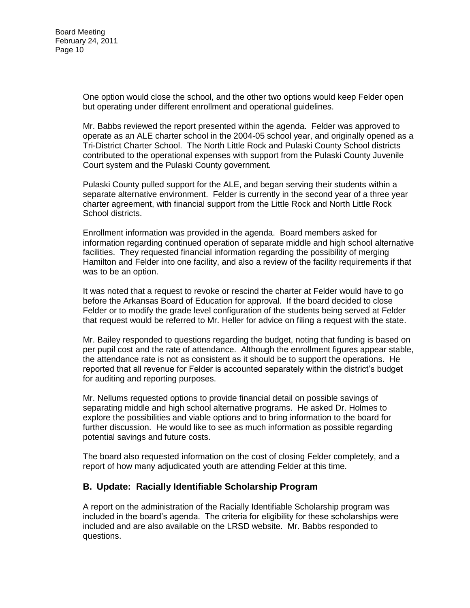One option would close the school, and the other two options would keep Felder open but operating under different enrollment and operational guidelines.

Mr. Babbs reviewed the report presented within the agenda. Felder was approved to operate as an ALE charter school in the 2004-05 school year, and originally opened as a Tri-District Charter School. The North Little Rock and Pulaski County School districts contributed to the operational expenses with support from the Pulaski County Juvenile Court system and the Pulaski County government.

Pulaski County pulled support for the ALE, and began serving their students within a separate alternative environment. Felder is currently in the second year of a three year charter agreement, with financial support from the Little Rock and North Little Rock School districts.

Enrollment information was provided in the agenda. Board members asked for information regarding continued operation of separate middle and high school alternative facilities. They requested financial information regarding the possibility of merging Hamilton and Felder into one facility, and also a review of the facility requirements if that was to be an option.

It was noted that a request to revoke or rescind the charter at Felder would have to go before the Arkansas Board of Education for approval. If the board decided to close Felder or to modify the grade level configuration of the students being served at Felder that request would be referred to Mr. Heller for advice on filing a request with the state.

Mr. Bailey responded to questions regarding the budget, noting that funding is based on per pupil cost and the rate of attendance. Although the enrollment figures appear stable, the attendance rate is not as consistent as it should be to support the operations. He reported that all revenue for Felder is accounted separately within the district's budget for auditing and reporting purposes.

Mr. Nellums requested options to provide financial detail on possible savings of separating middle and high school alternative programs. He asked Dr. Holmes to explore the possibilities and viable options and to bring information to the board for further discussion. He would like to see as much information as possible regarding potential savings and future costs.

The board also requested information on the cost of closing Felder completely, and a report of how many adjudicated youth are attending Felder at this time.

## **B. Update: Racially Identifiable Scholarship Program**

A report on the administration of the Racially Identifiable Scholarship program was included in the board's agenda. The criteria for eligibility for these scholarships were included and are also available on the LRSD website. Mr. Babbs responded to questions.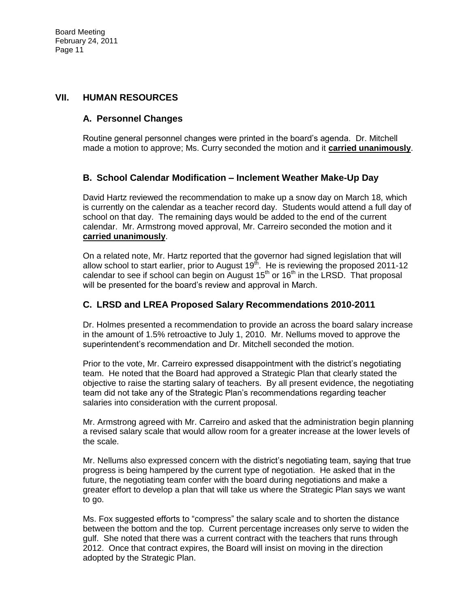#### **VII. HUMAN RESOURCES**

## **A. Personnel Changes**

Routine general personnel changes were printed in the board's agenda. Dr. Mitchell made a motion to approve; Ms. Curry seconded the motion and it **carried unanimously**.

## **B. School Calendar Modification – Inclement Weather Make-Up Day**

David Hartz reviewed the recommendation to make up a snow day on March 18, which is currently on the calendar as a teacher record day. Students would attend a full day of school on that day. The remaining days would be added to the end of the current calendar. Mr. Armstrong moved approval, Mr. Carreiro seconded the motion and it **carried unanimously**.

On a related note, Mr. Hartz reported that the governor had signed legislation that will allow school to start earlier, prior to August  $19<sup>th</sup>$ . He is reviewing the proposed 2011-12 calendar to see if school can begin on August  $15<sup>th</sup>$  or  $16<sup>th</sup>$  in the LRSD. That proposal will be presented for the board's review and approval in March.

#### **C. LRSD and LREA Proposed Salary Recommendations 2010-2011**

Dr. Holmes presented a recommendation to provide an across the board salary increase in the amount of 1.5% retroactive to July 1, 2010. Mr. Nellums moved to approve the superintendent's recommendation and Dr. Mitchell seconded the motion.

Prior to the vote, Mr. Carreiro expressed disappointment with the district's negotiating team. He noted that the Board had approved a Strategic Plan that clearly stated the objective to raise the starting salary of teachers. By all present evidence, the negotiating team did not take any of the Strategic Plan's recommendations regarding teacher salaries into consideration with the current proposal.

Mr. Armstrong agreed with Mr. Carreiro and asked that the administration begin planning a revised salary scale that would allow room for a greater increase at the lower levels of the scale.

Mr. Nellums also expressed concern with the district's negotiating team, saying that true progress is being hampered by the current type of negotiation. He asked that in the future, the negotiating team confer with the board during negotiations and make a greater effort to develop a plan that will take us where the Strategic Plan says we want to go.

Ms. Fox suggested efforts to "compress" the salary scale and to shorten the distance between the bottom and the top. Current percentage increases only serve to widen the gulf. She noted that there was a current contract with the teachers that runs through 2012. Once that contract expires, the Board will insist on moving in the direction adopted by the Strategic Plan.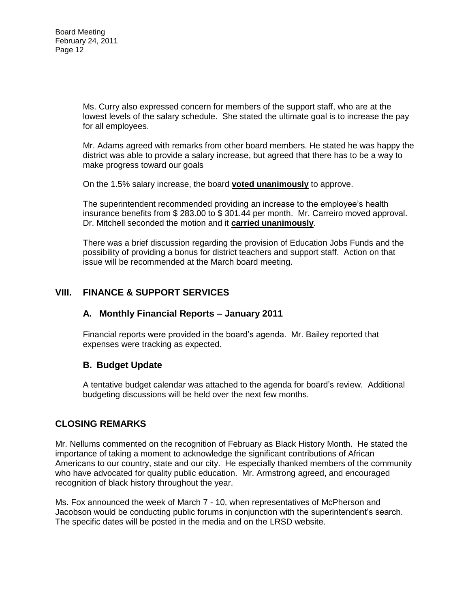Ms. Curry also expressed concern for members of the support staff, who are at the lowest levels of the salary schedule. She stated the ultimate goal is to increase the pay for all employees.

Mr. Adams agreed with remarks from other board members. He stated he was happy the district was able to provide a salary increase, but agreed that there has to be a way to make progress toward our goals

On the 1.5% salary increase, the board **voted unanimously** to approve.

The superintendent recommended providing an increase to the employee's health insurance benefits from \$ 283.00 to \$ 301.44 per month. Mr. Carreiro moved approval. Dr. Mitchell seconded the motion and it **carried unanimously**.

There was a brief discussion regarding the provision of Education Jobs Funds and the possibility of providing a bonus for district teachers and support staff. Action on that issue will be recommended at the March board meeting.

# **VIII. FINANCE & SUPPORT SERVICES**

## **A. Monthly Financial Reports – January 2011**

Financial reports were provided in the board's agenda. Mr. Bailey reported that expenses were tracking as expected.

#### **B. Budget Update**

A tentative budget calendar was attached to the agenda for board's review. Additional budgeting discussions will be held over the next few months.

## **CLOSING REMARKS**

Mr. Nellums commented on the recognition of February as Black History Month. He stated the importance of taking a moment to acknowledge the significant contributions of African Americans to our country, state and our city. He especially thanked members of the community who have advocated for quality public education. Mr. Armstrong agreed, and encouraged recognition of black history throughout the year.

Ms. Fox announced the week of March 7 - 10, when representatives of McPherson and Jacobson would be conducting public forums in conjunction with the superintendent's search. The specific dates will be posted in the media and on the LRSD website.